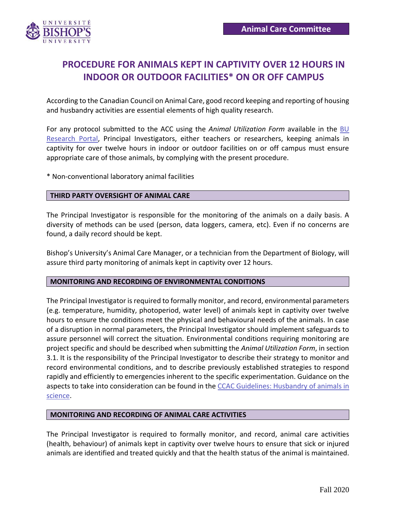

# **PROCEDURE FOR ANIMALS KEPT IN CAPTIVITY OVER 12 HOURS IN INDOOR OR OUTDOOR FACILITIES\* ON OR OFF CAMPUS**

According to the Canadian Council on Animal Care, good record keeping and reporting of housing and husbandry activities are essential elements of high quality research.

For any protocol submitted to the ACC using the *Animal Utilization Form* available in the [BU](https://ubishops.researchservicesoffice.com/Romeo.Researcher/(S(1lqwbpqzkvf0wdv3lqmf3qsi))/Login.aspx?ReturnUrl=%2fRomeo.Researcher%2fAdministrator%2fDefault.aspx)  [Research Portal,](https://ubishops.researchservicesoffice.com/Romeo.Researcher/(S(1lqwbpqzkvf0wdv3lqmf3qsi))/Login.aspx?ReturnUrl=%2fRomeo.Researcher%2fAdministrator%2fDefault.aspx) Principal Investigators, either teachers or researchers, keeping animals in captivity for over twelve hours in indoor or outdoor facilities on or off campus must ensure appropriate care of those animals, by complying with the present procedure.

\* Non-conventional laboratory animal facilities

## **THIRD PARTY OVERSIGHT OF ANIMAL CARE**

The Principal Investigator is responsible for the monitoring of the animals on a daily basis. A diversity of methods can be used (person, data loggers, camera, etc). Even if no concerns are found, a daily record should be kept.

Bishop's University's Animal Care Manager, or a technician from the Department of Biology, will assure third party monitoring of animals kept in captivity over 12 hours.

#### **MONITORING AND RECORDING OF ENVIRONMENTAL CONDITIONS**

The Principal Investigator is required to formally monitor, and record, environmental parameters (e.g. temperature, humidity, photoperiod, water level) of animals kept in captivity over twelve hours to ensure the conditions meet the physical and behavioural needs of the animals. In case of a disruption in normal parameters, the Principal Investigator should implement safeguards to assure personnel will correct the situation. Environmental conditions requiring monitoring are project specific and should be described when submitting the *Animal Utilization Form*, in section 3.1. It is the responsibility of the Principal Investigator to describe their strategy to monitor and record environmental conditions, and to describe previously established strategies to respond rapidly and efficiently to emergencies inherent to the specific experimentation. Guidance on the aspects to take into consideration can be found in the [CCAC Guidelines: Husbandry of animals](https://www.ccac.ca/Documents/Standards/Guidelines/CCAC-guidelines-on-husbandry-of-animals-in-science.pdf) in [science.](https://www.ccac.ca/Documents/Standards/Guidelines/CCAC-guidelines-on-husbandry-of-animals-in-science.pdf)

#### **MONITORING AND RECORDING OF ANIMAL CARE ACTIVITIES**

The Principal Investigator is required to formally monitor, and record, animal care activities (health, behaviour) of animals kept in captivity over twelve hours to ensure that sick or injured animals are identified and treated quickly and that the health status of the animal is maintained.